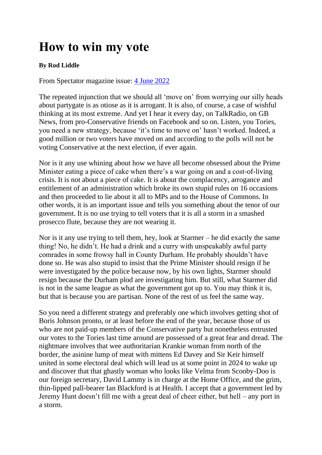## **How to win my vote**

## **By Rod Liddle**

From Spectator magazine issue: [4 June 2022](https://www.spectator.co.uk/magazine/04-06-2022)

The repeated injunction that we should all 'move on' from worrying our silly heads about partygate is as otiose as it is arrogant. It is also, of course, a case of wishful thinking at its most extreme. And yet I hear it every day, on TalkRadio, on GB News, from pro-Conservative friends on Facebook and so on. Listen, you Tories, you need a new strategy, because 'it's time to move on' hasn't worked. Indeed, a good million or two voters have moved on and according to the polls will not be voting Conservative at the next election, if ever again.

Nor is it any use whining about how we have all become obsessed about the Prime Minister eating a piece of cake when there's a war going on and a cost-of-living crisis. It is not about a piece of cake. It is about the complacency, arrogance and entitlement of an administration which broke its own stupid rules on 16 occasions and then proceeded to lie about it all to MPs and to the House of Commons. In other words, it is an important issue and tells you something about the tenor of our government. It is no use trying to tell voters that it is all a storm in a smashed prosecco flute, because they are not wearing it.

Nor is it any use trying to tell them, hey, look at Starmer – he did exactly the same thing! No, he didn't. He had a drink and a curry with unspeakably awful party comrades in some frowsy hall in County Durham. He probably shouldn't have done so. He was also stupid to insist that the Prime Minister should resign if he were investigated by the police because now, by his own lights, Starmer should resign because the Durham plod are investigating him. But still, what Starmer did is not in the same league as what the government got up to. You may think it is, but that is because you are partisan. None of the rest of us feel the same way.

So you need a different strategy and preferably one which involves getting shot of Boris Johnson pronto, or at least before the end of the year, because those of us who are not paid-up members of the Conservative party but nonetheless entrusted our votes to the Tories last time around are possessed of a great fear and dread. The nightmare involves that wee authoritarian Krankie woman from north of the border, the asinine lump of meat with mittens Ed Davey and Sir Keir himself united in some electoral deal which will lead us at some point in 2024 to wake up and discover that that ghastly woman who looks like Velma from Scooby-Doo is our foreign secretary, David Lammy is in charge at the Home Office, and the grim, thin-lipped pall-bearer Ian Blackford is at Health. I accept that a government led by Jeremy Hunt doesn't fill me with a great deal of cheer either, but hell – any port in a storm.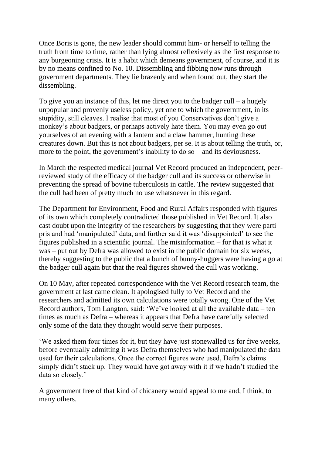Once Boris is gone, the new leader should commit him- or herself to telling the truth from time to time, rather than lying almost reflexively as the first response to any burgeoning crisis. It is a habit which demeans government, of course, and it is by no means confined to No. 10. Dissembling and fibbing now runs through government departments. They lie brazenly and when found out, they start the dissembling.

To give you an instance of this, let me direct you to the badger cull – a hugely unpopular and provenly useless policy, yet one to which the government, in its stupidity, still cleaves. I realise that most of you Conservatives don't give a monkey's about badgers, or perhaps actively hate them. You may even go out yourselves of an evening with a lantern and a claw hammer, hunting these creatures down. But this is not about badgers, per se. It is about telling the truth, or, more to the point, the government's inability to do so – and its deviousness.

In March the respected medical journal Vet Record produced an independent, peerreviewed study of the efficacy of the badger cull and its success or otherwise in preventing the spread of bovine tuberculosis in cattle. The review suggested that the cull had been of pretty much no use whatsoever in this regard.

The Department for Environment, Food and Rural Affairs responded with figures of its own which completely contradicted those published in Vet Record. It also cast doubt upon the integrity of the researchers by suggesting that they were parti pris and had 'manipulated' data, and further said it was 'disappointed' to see the figures published in a scientific journal. The misinformation – for that is what it was – put out by Defra was allowed to exist in the public domain for six weeks, thereby suggesting to the public that a bunch of bunny-huggers were having a go at the badger cull again but that the real figures showed the cull was working.

On 10 May, after repeated correspondence with the Vet Record research team, the government at last came clean. It apologised fully to Vet Record and the researchers and admitted its own calculations were totally wrong. One of the Vet Record authors, Tom Langton, said: 'We've looked at all the available data – ten times as much as Defra – whereas it appears that Defra have carefully selected only some of the data they thought would serve their purposes.

'We asked them four times for it, but they have just stonewalled us for five weeks, before eventually admitting it was Defra themselves who had manipulated the data used for their calculations. Once the correct figures were used, Defra's claims simply didn't stack up. They would have got away with it if we hadn't studied the data so closely.'

A government free of that kind of chicanery would appeal to me and, I think, to many others.